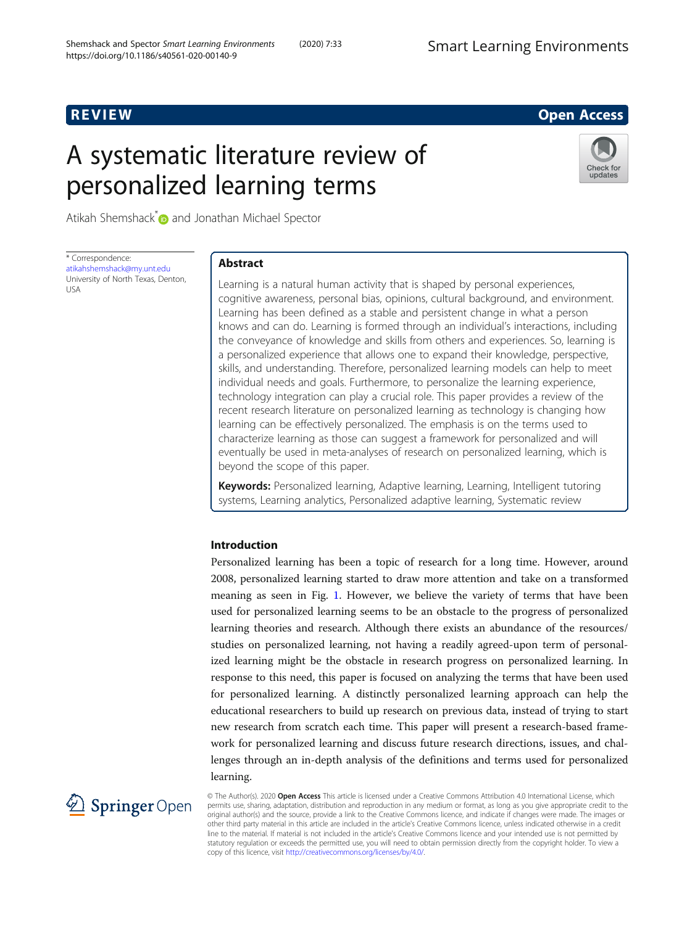# **REVIEW CONSTRUCTION CONSTRUCTION CONSTRUCTS**

# A systematic literature review of personalized learning terms



Atikah Shemshack<sup>\*</sup> and Jonathan Michael Spector

\* Correspondence: [atikahshemshack@my.unt.edu](mailto:atikahshemshack@my.unt.edu) University of North Texas, Denton, USA

# Abstract

Learning is a natural human activity that is shaped by personal experiences, cognitive awareness, personal bias, opinions, cultural background, and environment. Learning has been defined as a stable and persistent change in what a person knows and can do. Learning is formed through an individual's interactions, including the conveyance of knowledge and skills from others and experiences. So, learning is a personalized experience that allows one to expand their knowledge, perspective, skills, and understanding. Therefore, personalized learning models can help to meet individual needs and goals. Furthermore, to personalize the learning experience, technology integration can play a crucial role. This paper provides a review of the recent research literature on personalized learning as technology is changing how learning can be effectively personalized. The emphasis is on the terms used to characterize learning as those can suggest a framework for personalized and will eventually be used in meta-analyses of research on personalized learning, which is beyond the scope of this paper.

Keywords: Personalized learning, Adaptive learning, Learning, Intelligent tutoring systems, Learning analytics, Personalized adaptive learning, Systematic review

# Introduction

Personalized learning has been a topic of research for a long time. However, around 2008, personalized learning started to draw more attention and take on a transformed meaning as seen in Fig. [1.](#page-1-0) However, we believe the variety of terms that have been used for personalized learning seems to be an obstacle to the progress of personalized learning theories and research. Although there exists an abundance of the resources/ studies on personalized learning, not having a readily agreed-upon term of personalized learning might be the obstacle in research progress on personalized learning. In response to this need, this paper is focused on analyzing the terms that have been used for personalized learning. A distinctly personalized learning approach can help the educational researchers to build up research on previous data, instead of trying to start new research from scratch each time. This paper will present a research-based framework for personalized learning and discuss future research directions, issues, and challenges through an in-depth analysis of the definitions and terms used for personalized learning.



© The Author(s). 2020 Open Access This article is licensed under a Creative Commons Attribution 4.0 International License, which permits use, sharing, adaptation, distribution and reproduction in any medium or format, as long as you give appropriate credit to the original author(s) and the source, provide a link to the Creative Commons licence, and indicate if changes were made. The images or other third party material in this article are included in the article's Creative Commons licence, unless indicated otherwise in a credit line to the material. If material is not included in the article's Creative Commons licence and your intended use is not permitted by statutory regulation or exceeds the permitted use, you will need to obtain permission directly from the copyright holder. To view a copy of this licence, visit <http://creativecommons.org/licenses/by/4.0/>.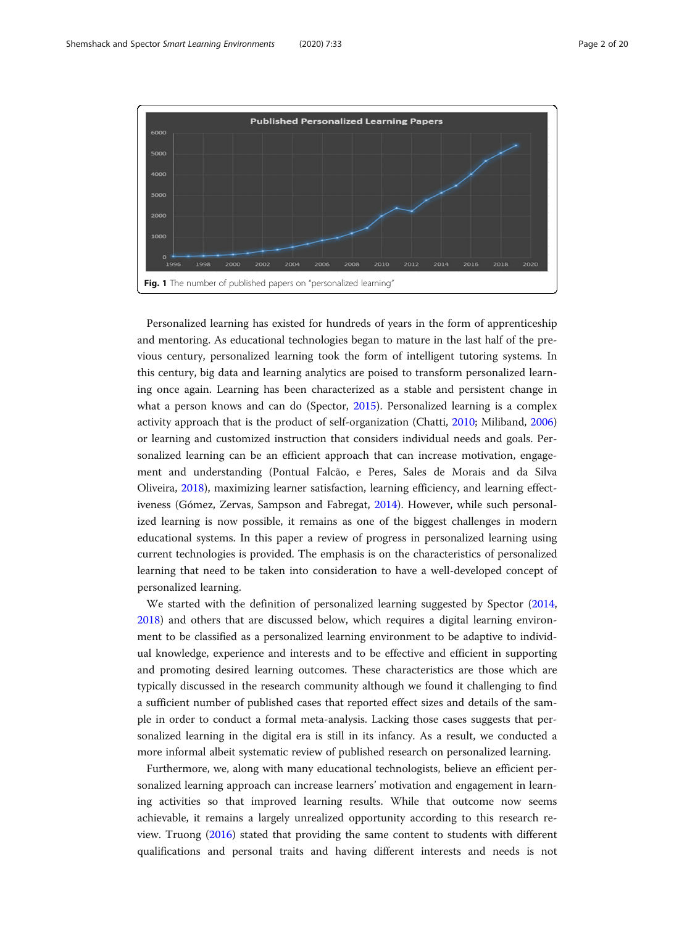<span id="page-1-0"></span>

Personalized learning has existed for hundreds of years in the form of apprenticeship and mentoring. As educational technologies began to mature in the last half of the previous century, personalized learning took the form of intelligent tutoring systems. In this century, big data and learning analytics are poised to transform personalized learning once again. Learning has been characterized as a stable and persistent change in what a person knows and can do (Spector, [2015\)](#page-19-0). Personalized learning is a complex activity approach that is the product of self-organization (Chatti, [2010](#page-17-0); Miliband, [2006](#page-18-0)) or learning and customized instruction that considers individual needs and goals. Personalized learning can be an efficient approach that can increase motivation, engagement and understanding (Pontual Falcão, e Peres, Sales de Morais and da Silva Oliveira, [2018](#page-19-0)), maximizing learner satisfaction, learning efficiency, and learning effectiveness (Gómez, Zervas, Sampson and Fabregat, [2014\)](#page-17-0). However, while such personalized learning is now possible, it remains as one of the biggest challenges in modern educational systems. In this paper a review of progress in personalized learning using current technologies is provided. The emphasis is on the characteristics of personalized learning that need to be taken into consideration to have a well-developed concept of personalized learning.

We started with the definition of personalized learning suggested by Spector ([2014](#page-19-0), [2018](#page-19-0)) and others that are discussed below, which requires a digital learning environment to be classified as a personalized learning environment to be adaptive to individual knowledge, experience and interests and to be effective and efficient in supporting and promoting desired learning outcomes. These characteristics are those which are typically discussed in the research community although we found it challenging to find a sufficient number of published cases that reported effect sizes and details of the sample in order to conduct a formal meta-analysis. Lacking those cases suggests that personalized learning in the digital era is still in its infancy. As a result, we conducted a more informal albeit systematic review of published research on personalized learning.

Furthermore, we, along with many educational technologists, believe an efficient personalized learning approach can increase learners' motivation and engagement in learning activities so that improved learning results. While that outcome now seems achievable, it remains a largely unrealized opportunity according to this research review. Truong [\(2016\)](#page-19-0) stated that providing the same content to students with different qualifications and personal traits and having different interests and needs is not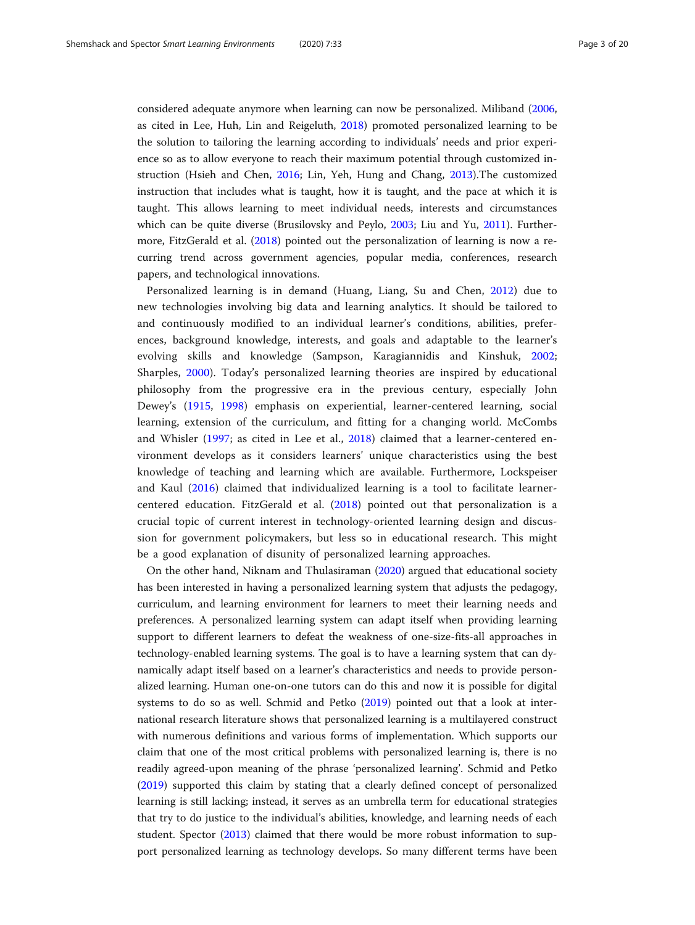considered adequate anymore when learning can now be personalized. Miliband ([2006](#page-18-0), as cited in Lee, Huh, Lin and Reigeluth, [2018\)](#page-18-0) promoted personalized learning to be the solution to tailoring the learning according to individuals' needs and prior experience so as to allow everyone to reach their maximum potential through customized instruction (Hsieh and Chen, [2016](#page-18-0); Lin, Yeh, Hung and Chang, [2013](#page-18-0)).The customized instruction that includes what is taught, how it is taught, and the pace at which it is taught. This allows learning to meet individual needs, interests and circumstances which can be quite diverse (Brusilovsky and Peylo, [2003;](#page-17-0) Liu and Yu, [2011](#page-18-0)). Furthermore, FitzGerald et al. [\(2018\)](#page-17-0) pointed out the personalization of learning is now a recurring trend across government agencies, popular media, conferences, research papers, and technological innovations.

Personalized learning is in demand (Huang, Liang, Su and Chen, [2012](#page-18-0)) due to new technologies involving big data and learning analytics. It should be tailored to and continuously modified to an individual learner's conditions, abilities, preferences, background knowledge, interests, and goals and adaptable to the learner's evolving skills and knowledge (Sampson, Karagiannidis and Kinshuk, [2002](#page-19-0); Sharples, [2000\)](#page-19-0). Today's personalized learning theories are inspired by educational philosophy from the progressive era in the previous century, especially John Dewey's ([1915,](#page-17-0) [1998](#page-17-0)) emphasis on experiential, learner-centered learning, social learning, extension of the curriculum, and fitting for a changing world. McCombs and Whisler [\(1997](#page-18-0); as cited in Lee et al., [2018\)](#page-18-0) claimed that a learner-centered environment develops as it considers learners' unique characteristics using the best knowledge of teaching and learning which are available. Furthermore, Lockspeiser and Kaul [\(2016](#page-18-0)) claimed that individualized learning is a tool to facilitate learnercentered education. FitzGerald et al. ([2018\)](#page-17-0) pointed out that personalization is a crucial topic of current interest in technology-oriented learning design and discussion for government policymakers, but less so in educational research. This might be a good explanation of disunity of personalized learning approaches.

On the other hand, Niknam and Thulasiraman [\(2020](#page-18-0)) argued that educational society has been interested in having a personalized learning system that adjusts the pedagogy, curriculum, and learning environment for learners to meet their learning needs and preferences. A personalized learning system can adapt itself when providing learning support to different learners to defeat the weakness of one-size-fits-all approaches in technology-enabled learning systems. The goal is to have a learning system that can dynamically adapt itself based on a learner's characteristics and needs to provide personalized learning. Human one-on-one tutors can do this and now it is possible for digital systems to do so as well. Schmid and Petko ([2019](#page-19-0)) pointed out that a look at international research literature shows that personalized learning is a multilayered construct with numerous definitions and various forms of implementation. Which supports our claim that one of the most critical problems with personalized learning is, there is no readily agreed-upon meaning of the phrase 'personalized learning'. Schmid and Petko ([2019](#page-19-0)) supported this claim by stating that a clearly defined concept of personalized learning is still lacking; instead, it serves as an umbrella term for educational strategies that try to do justice to the individual's abilities, knowledge, and learning needs of each student. Spector ([2013\)](#page-19-0) claimed that there would be more robust information to support personalized learning as technology develops. So many different terms have been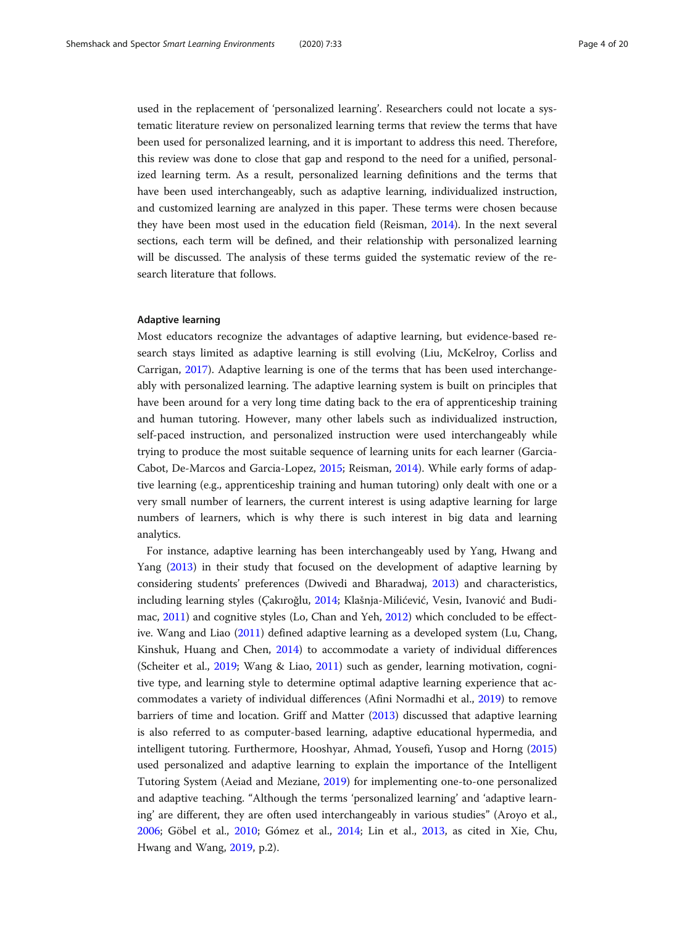used in the replacement of 'personalized learning'. Researchers could not locate a systematic literature review on personalized learning terms that review the terms that have been used for personalized learning, and it is important to address this need. Therefore, this review was done to close that gap and respond to the need for a unified, personalized learning term. As a result, personalized learning definitions and the terms that have been used interchangeably, such as adaptive learning, individualized instruction, and customized learning are analyzed in this paper. These terms were chosen because they have been most used in the education field (Reisman, [2014](#page-19-0)). In the next several sections, each term will be defined, and their relationship with personalized learning will be discussed. The analysis of these terms guided the systematic review of the research literature that follows.

## Adaptive learning

Most educators recognize the advantages of adaptive learning, but evidence-based research stays limited as adaptive learning is still evolving (Liu, McKelroy, Corliss and Carrigan, [2017](#page-18-0)). Adaptive learning is one of the terms that has been used interchangeably with personalized learning. The adaptive learning system is built on principles that have been around for a very long time dating back to the era of apprenticeship training and human tutoring. However, many other labels such as individualized instruction, self-paced instruction, and personalized instruction were used interchangeably while trying to produce the most suitable sequence of learning units for each learner (Garcia-Cabot, De-Marcos and Garcia-Lopez, [2015;](#page-17-0) Reisman, [2014](#page-19-0)). While early forms of adaptive learning (e.g., apprenticeship training and human tutoring) only dealt with one or a very small number of learners, the current interest is using adaptive learning for large numbers of learners, which is why there is such interest in big data and learning analytics.

For instance, adaptive learning has been interchangeably used by Yang, Hwang and Yang ([2013](#page-19-0)) in their study that focused on the development of adaptive learning by considering students' preferences (Dwivedi and Bharadwaj, [2013](#page-17-0)) and characteristics, including learning styles (Çakıroğlu, [2014](#page-17-0); Klašnja-Milićević, Vesin, Ivanović and Budimac, [2011](#page-18-0)) and cognitive styles (Lo, Chan and Yeh, [2012](#page-18-0)) which concluded to be effective. Wang and Liao ([2011](#page-19-0)) defined adaptive learning as a developed system (Lu, Chang, Kinshuk, Huang and Chen, [2014](#page-18-0)) to accommodate a variety of individual differences (Scheiter et al., [2019](#page-19-0); Wang & Liao, [2011\)](#page-19-0) such as gender, learning motivation, cognitive type, and learning style to determine optimal adaptive learning experience that accommodates a variety of individual differences (Afini Normadhi et al., [2019](#page-17-0)) to remove barriers of time and location. Griff and Matter [\(2013\)](#page-18-0) discussed that adaptive learning is also referred to as computer-based learning, adaptive educational hypermedia, and intelligent tutoring. Furthermore, Hooshyar, Ahmad, Yousefi, Yusop and Horng ([2015](#page-18-0)) used personalized and adaptive learning to explain the importance of the Intelligent Tutoring System (Aeiad and Meziane, [2019](#page-17-0)) for implementing one-to-one personalized and adaptive teaching. "Although the terms 'personalized learning' and 'adaptive learning' are different, they are often used interchangeably in various studies" (Aroyo et al., [2006](#page-17-0); Göbel et al., [2010;](#page-17-0) Gómez et al., [2014;](#page-17-0) Lin et al., [2013](#page-18-0), as cited in Xie, Chu, Hwang and Wang, [2019,](#page-19-0) p.2).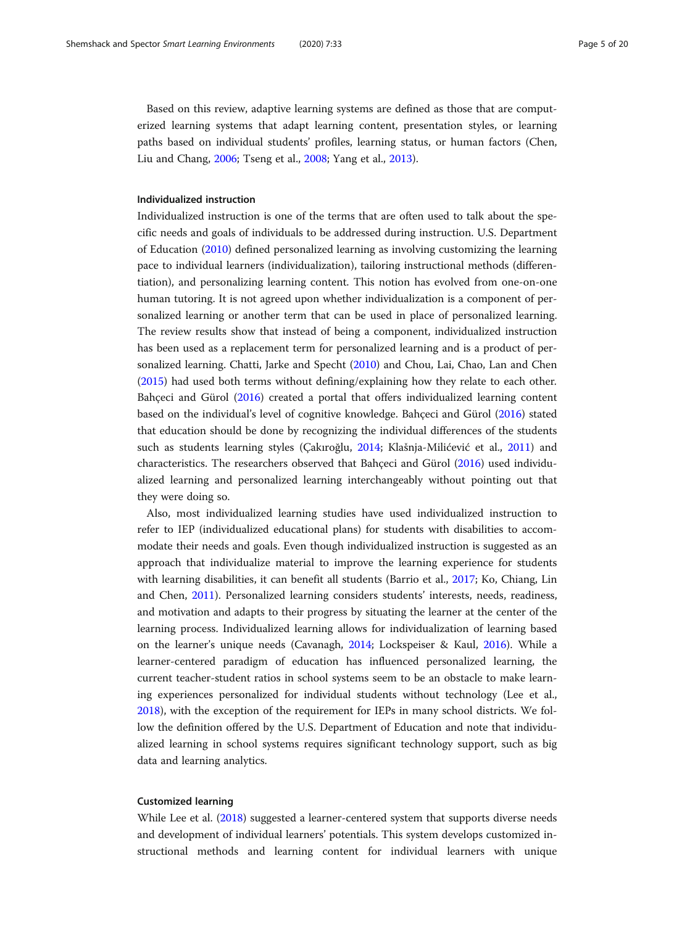Based on this review, adaptive learning systems are defined as those that are computerized learning systems that adapt learning content, presentation styles, or learning paths based on individual students' profiles, learning status, or human factors (Chen, Liu and Chang, [2006](#page-17-0); Tseng et al., [2008](#page-19-0); Yang et al., [2013](#page-19-0)).

#### Individualized instruction

Individualized instruction is one of the terms that are often used to talk about the specific needs and goals of individuals to be addressed during instruction. U.S. Department of Education ([2010](#page-19-0)) defined personalized learning as involving customizing the learning pace to individual learners (individualization), tailoring instructional methods (differentiation), and personalizing learning content. This notion has evolved from one-on-one human tutoring. It is not agreed upon whether individualization is a component of personalized learning or another term that can be used in place of personalized learning. The review results show that instead of being a component, individualized instruction has been used as a replacement term for personalized learning and is a product of personalized learning. Chatti, Jarke and Specht ([2010\)](#page-17-0) and Chou, Lai, Chao, Lan and Chen ([2015](#page-17-0)) had used both terms without defining/explaining how they relate to each other. Bahçeci and Gürol ([2016](#page-17-0)) created a portal that offers individualized learning content based on the individual's level of cognitive knowledge. Bahçeci and Gürol [\(2016](#page-17-0)) stated that education should be done by recognizing the individual differences of the students such as students learning styles (Çakıroğlu, [2014](#page-17-0); Klašnja-Milićević et al., [2011\)](#page-18-0) and characteristics. The researchers observed that Bahçeci and Gürol [\(2016](#page-17-0)) used individualized learning and personalized learning interchangeably without pointing out that they were doing so.

Also, most individualized learning studies have used individualized instruction to refer to IEP (individualized educational plans) for students with disabilities to accommodate their needs and goals. Even though individualized instruction is suggested as an approach that individualize material to improve the learning experience for students with learning disabilities, it can benefit all students (Barrio et al., [2017](#page-17-0); Ko, Chiang, Lin and Chen, [2011](#page-18-0)). Personalized learning considers students' interests, needs, readiness, and motivation and adapts to their progress by situating the learner at the center of the learning process. Individualized learning allows for individualization of learning based on the learner's unique needs (Cavanagh, [2014;](#page-17-0) Lockspeiser & Kaul, [2016](#page-18-0)). While a learner-centered paradigm of education has influenced personalized learning, the current teacher-student ratios in school systems seem to be an obstacle to make learning experiences personalized for individual students without technology (Lee et al., [2018](#page-18-0)), with the exception of the requirement for IEPs in many school districts. We follow the definition offered by the U.S. Department of Education and note that individualized learning in school systems requires significant technology support, such as big data and learning analytics.

#### Customized learning

While Lee et al. ([2018](#page-18-0)) suggested a learner-centered system that supports diverse needs and development of individual learners' potentials. This system develops customized instructional methods and learning content for individual learners with unique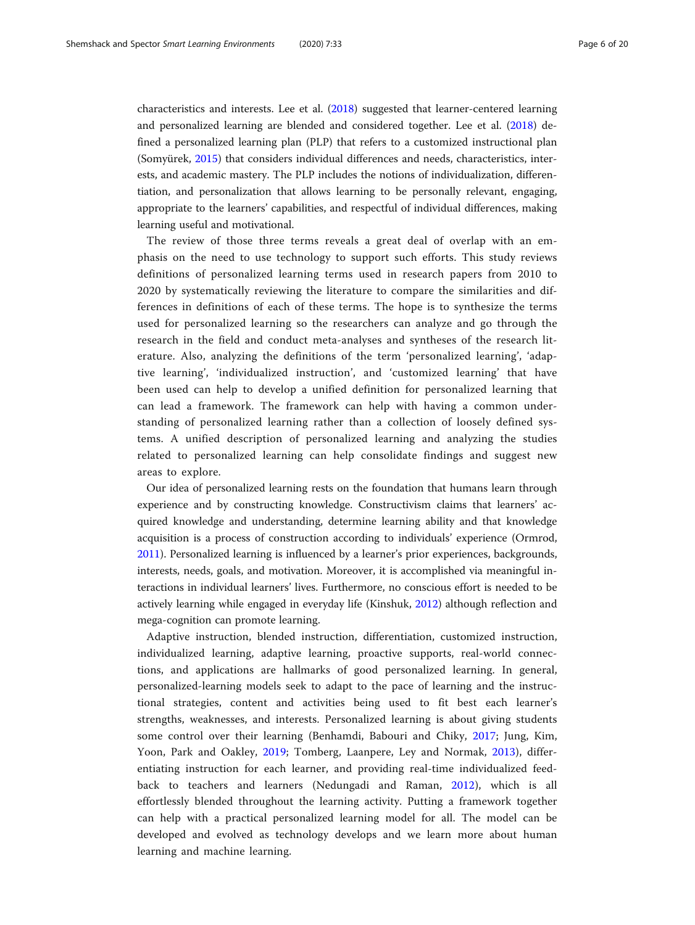characteristics and interests. Lee et al. ([2018\)](#page-18-0) suggested that learner-centered learning and personalized learning are blended and considered together. Lee et al. [\(2018](#page-18-0)) defined a personalized learning plan (PLP) that refers to a customized instructional plan (Somyürek, [2015\)](#page-19-0) that considers individual differences and needs, characteristics, interests, and academic mastery. The PLP includes the notions of individualization, differentiation, and personalization that allows learning to be personally relevant, engaging, appropriate to the learners' capabilities, and respectful of individual differences, making learning useful and motivational.

The review of those three terms reveals a great deal of overlap with an emphasis on the need to use technology to support such efforts. This study reviews definitions of personalized learning terms used in research papers from 2010 to 2020 by systematically reviewing the literature to compare the similarities and differences in definitions of each of these terms. The hope is to synthesize the terms used for personalized learning so the researchers can analyze and go through the research in the field and conduct meta-analyses and syntheses of the research literature. Also, analyzing the definitions of the term 'personalized learning', 'adaptive learning', 'individualized instruction', and 'customized learning' that have been used can help to develop a unified definition for personalized learning that can lead a framework. The framework can help with having a common understanding of personalized learning rather than a collection of loosely defined systems. A unified description of personalized learning and analyzing the studies related to personalized learning can help consolidate findings and suggest new areas to explore.

Our idea of personalized learning rests on the foundation that humans learn through experience and by constructing knowledge. Constructivism claims that learners' acquired knowledge and understanding, determine learning ability and that knowledge acquisition is a process of construction according to individuals' experience (Ormrod, [2011](#page-18-0)). Personalized learning is influenced by a learner's prior experiences, backgrounds, interests, needs, goals, and motivation. Moreover, it is accomplished via meaningful interactions in individual learners' lives. Furthermore, no conscious effort is needed to be actively learning while engaged in everyday life (Kinshuk, [2012\)](#page-18-0) although reflection and mega-cognition can promote learning.

Adaptive instruction, blended instruction, differentiation, customized instruction, individualized learning, adaptive learning, proactive supports, real-world connections, and applications are hallmarks of good personalized learning. In general, personalized-learning models seek to adapt to the pace of learning and the instructional strategies, content and activities being used to fit best each learner's strengths, weaknesses, and interests. Personalized learning is about giving students some control over their learning (Benhamdi, Babouri and Chiky, [2017](#page-17-0); Jung, Kim, Yoon, Park and Oakley, [2019](#page-18-0); Tomberg, Laanpere, Ley and Normak, [2013\)](#page-19-0), differentiating instruction for each learner, and providing real-time individualized feedback to teachers and learners (Nedungadi and Raman, [2012](#page-18-0)), which is all effortlessly blended throughout the learning activity. Putting a framework together can help with a practical personalized learning model for all. The model can be developed and evolved as technology develops and we learn more about human learning and machine learning.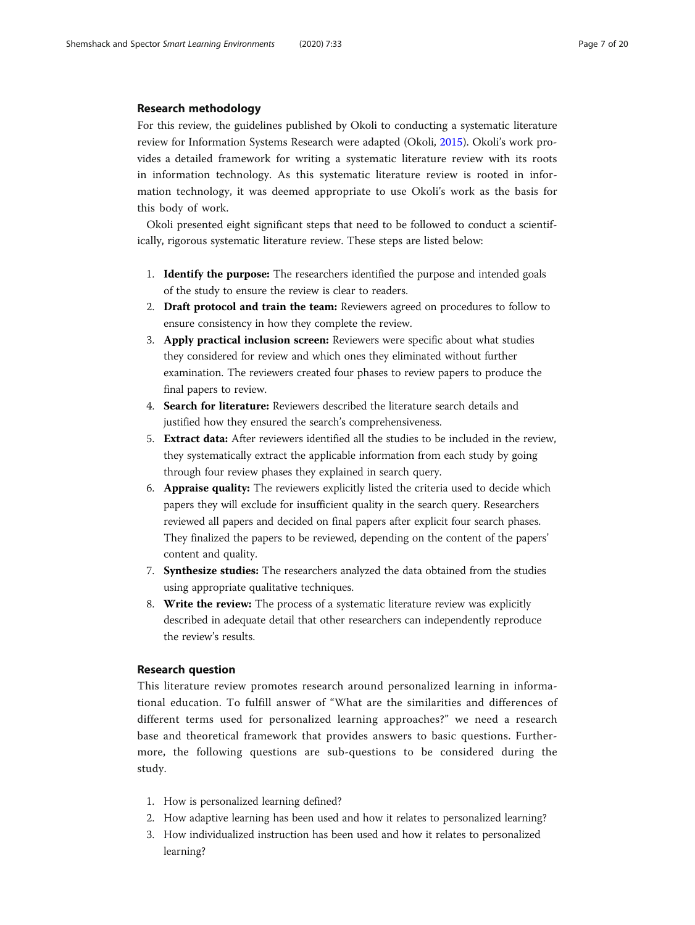#### Research methodology

For this review, the guidelines published by Okoli to conducting a systematic literature review for Information Systems Research were adapted (Okoli, [2015\)](#page-18-0). Okoli's work provides a detailed framework for writing a systematic literature review with its roots in information technology. As this systematic literature review is rooted in information technology, it was deemed appropriate to use Okoli's work as the basis for this body of work.

Okoli presented eight significant steps that need to be followed to conduct a scientifically, rigorous systematic literature review. These steps are listed below:

- 1. **Identify the purpose:** The researchers identified the purpose and intended goals of the study to ensure the review is clear to readers.
- 2. Draft protocol and train the team: Reviewers agreed on procedures to follow to ensure consistency in how they complete the review.
- 3. Apply practical inclusion screen: Reviewers were specific about what studies they considered for review and which ones they eliminated without further examination. The reviewers created four phases to review papers to produce the final papers to review.
- 4. Search for literature: Reviewers described the literature search details and justified how they ensured the search's comprehensiveness.
- 5. Extract data: After reviewers identified all the studies to be included in the review, they systematically extract the applicable information from each study by going through four review phases they explained in search query.
- 6. Appraise quality: The reviewers explicitly listed the criteria used to decide which papers they will exclude for insufficient quality in the search query. Researchers reviewed all papers and decided on final papers after explicit four search phases. They finalized the papers to be reviewed, depending on the content of the papers' content and quality.
- 7. Synthesize studies: The researchers analyzed the data obtained from the studies using appropriate qualitative techniques.
- 8. Write the review: The process of a systematic literature review was explicitly described in adequate detail that other researchers can independently reproduce the review's results.

# Research question

This literature review promotes research around personalized learning in informational education. To fulfill answer of "What are the similarities and differences of different terms used for personalized learning approaches?" we need a research base and theoretical framework that provides answers to basic questions. Furthermore, the following questions are sub-questions to be considered during the study.

- 1. How is personalized learning defined?
- 2. How adaptive learning has been used and how it relates to personalized learning?
- 3. How individualized instruction has been used and how it relates to personalized learning?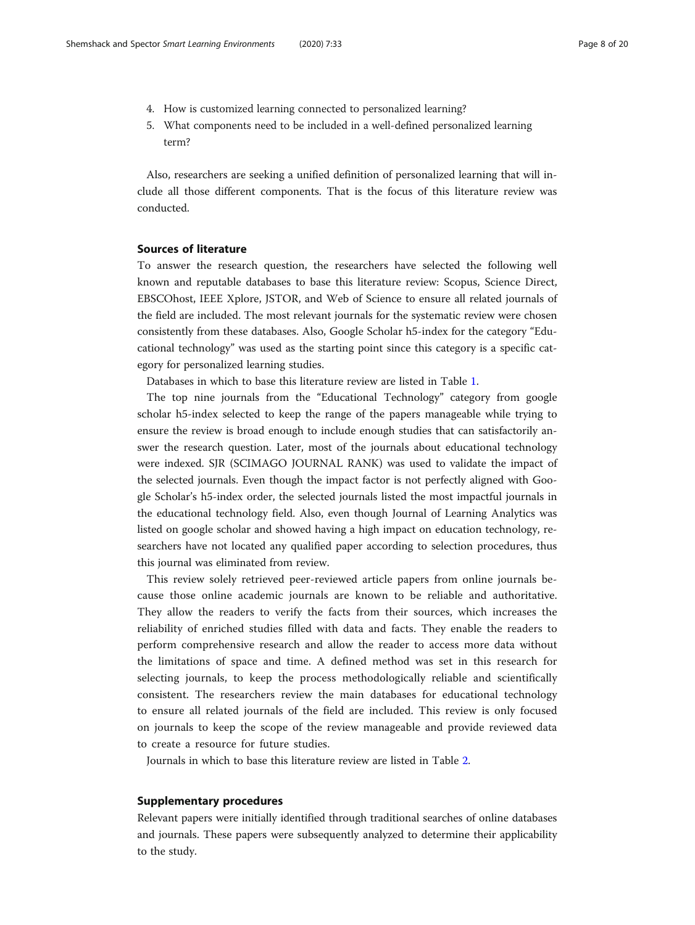- 4. How is customized learning connected to personalized learning?
- 5. What components need to be included in a well-defined personalized learning term?

Also, researchers are seeking a unified definition of personalized learning that will include all those different components. That is the focus of this literature review was conducted.

# Sources of literature

To answer the research question, the researchers have selected the following well known and reputable databases to base this literature review: Scopus, Science Direct, EBSCOhost, IEEE Xplore, JSTOR, and Web of Science to ensure all related journals of the field are included. The most relevant journals for the systematic review were chosen consistently from these databases. Also, Google Scholar h5-index for the category "Educational technology" was used as the starting point since this category is a specific category for personalized learning studies.

Databases in which to base this literature review are listed in Table [1](#page-8-0).

The top nine journals from the "Educational Technology" category from google scholar h5-index selected to keep the range of the papers manageable while trying to ensure the review is broad enough to include enough studies that can satisfactorily answer the research question. Later, most of the journals about educational technology were indexed. SJR (SCIMAGO JOURNAL RANK) was used to validate the impact of the selected journals. Even though the impact factor is not perfectly aligned with Google Scholar's h5-index order, the selected journals listed the most impactful journals in the educational technology field. Also, even though Journal of Learning Analytics was listed on google scholar and showed having a high impact on education technology, researchers have not located any qualified paper according to selection procedures, thus this journal was eliminated from review.

This review solely retrieved peer-reviewed article papers from online journals because those online academic journals are known to be reliable and authoritative. They allow the readers to verify the facts from their sources, which increases the reliability of enriched studies filled with data and facts. They enable the readers to perform comprehensive research and allow the reader to access more data without the limitations of space and time. A defined method was set in this research for selecting journals, to keep the process methodologically reliable and scientifically consistent. The researchers review the main databases for educational technology to ensure all related journals of the field are included. This review is only focused on journals to keep the scope of the review manageable and provide reviewed data to create a resource for future studies.

Journals in which to base this literature review are listed in Table [2](#page-9-0).

### Supplementary procedures

Relevant papers were initially identified through traditional searches of online databases and journals. These papers were subsequently analyzed to determine their applicability to the study.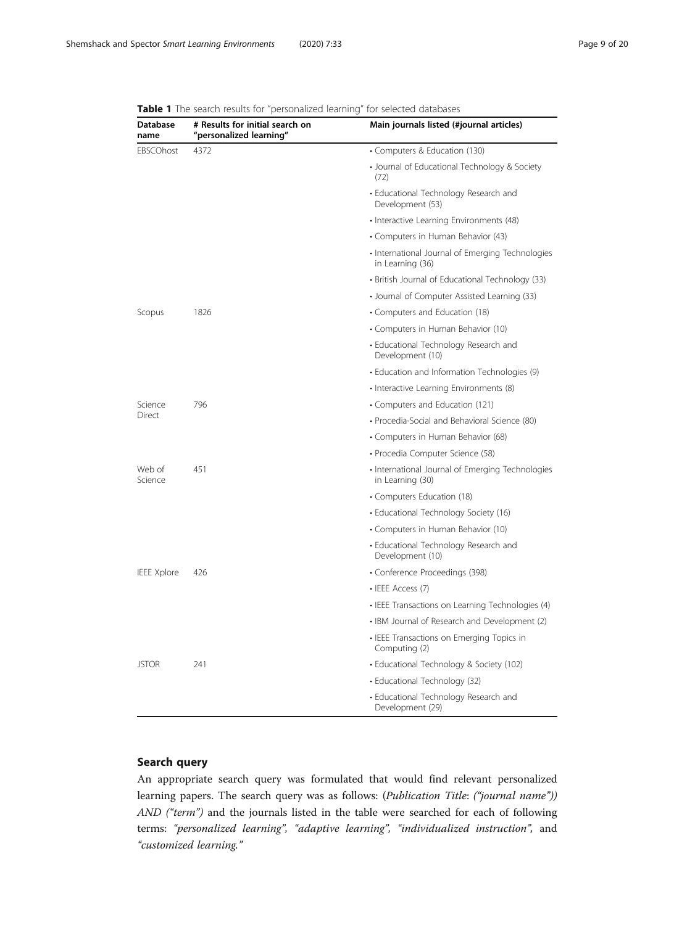| Database<br>name   | # Results for initial search on<br>"personalized learning" | Main journals listed (#journal articles)                             |  |  |
|--------------------|------------------------------------------------------------|----------------------------------------------------------------------|--|--|
| EBSCOhost          | 4372                                                       | • Computers & Education (130)                                        |  |  |
|                    |                                                            | • Journal of Educational Technology & Society<br>(72)                |  |  |
|                    |                                                            | • Educational Technology Research and<br>Development (53)            |  |  |
|                    |                                                            | • Interactive Learning Environments (48)                             |  |  |
|                    |                                                            | • Computers in Human Behavior (43)                                   |  |  |
|                    |                                                            | · International Journal of Emerging Technologies<br>in Learning (36) |  |  |
|                    |                                                            | • British Journal of Educational Technology (33)                     |  |  |
|                    |                                                            | • Journal of Computer Assisted Learning (33)                         |  |  |
| Scopus             | 1826                                                       | • Computers and Education (18)                                       |  |  |
|                    |                                                            | • Computers in Human Behavior (10)                                   |  |  |
|                    |                                                            | • Educational Technology Research and<br>Development (10)            |  |  |
|                    |                                                            | • Education and Information Technologies (9)                         |  |  |
|                    |                                                            | • Interactive Learning Environments (8)                              |  |  |
| Science            | 796                                                        | • Computers and Education (121)                                      |  |  |
| Direct             |                                                            | · Procedia-Social and Behavioral Science (80)                        |  |  |
|                    |                                                            | • Computers in Human Behavior (68)                                   |  |  |
|                    |                                                            | • Procedia Computer Science (58)                                     |  |  |
| Web of<br>Science  | 451                                                        | • International Journal of Emerging Technologies<br>in Learning (30) |  |  |
|                    |                                                            | • Computers Education (18)                                           |  |  |
|                    |                                                            | • Educational Technology Society (16)                                |  |  |
|                    |                                                            | • Computers in Human Behavior (10)                                   |  |  |
|                    |                                                            | · Educational Technology Research and<br>Development (10)            |  |  |
| <b>IEEE Xplore</b> | 426                                                        | • Conference Proceedings (398)                                       |  |  |
|                    |                                                            | • IEEE Access (7)                                                    |  |  |
|                    |                                                            | • IEEE Transactions on Learning Technologies (4)                     |  |  |
|                    |                                                            | • IBM Journal of Research and Development (2)                        |  |  |
|                    |                                                            | • IEEE Transactions on Emerging Topics in<br>Computing (2)           |  |  |
| <b>JSTOR</b>       | 241                                                        | · Educational Technology & Society (102)                             |  |  |
|                    |                                                            | • Educational Technology (32)                                        |  |  |
|                    |                                                            | • Educational Technology Research and<br>Development (29)            |  |  |

<span id="page-8-0"></span>Table 1 The search results for "personalized learning" for selected databases

# Search query

An appropriate search query was formulated that would find relevant personalized learning papers. The search query was as follows: (Publication Title: ("journal name")) AND ("term") and the journals listed in the table were searched for each of following terms: "personalized learning", "adaptive learning", "individualized instruction", and "customized learning."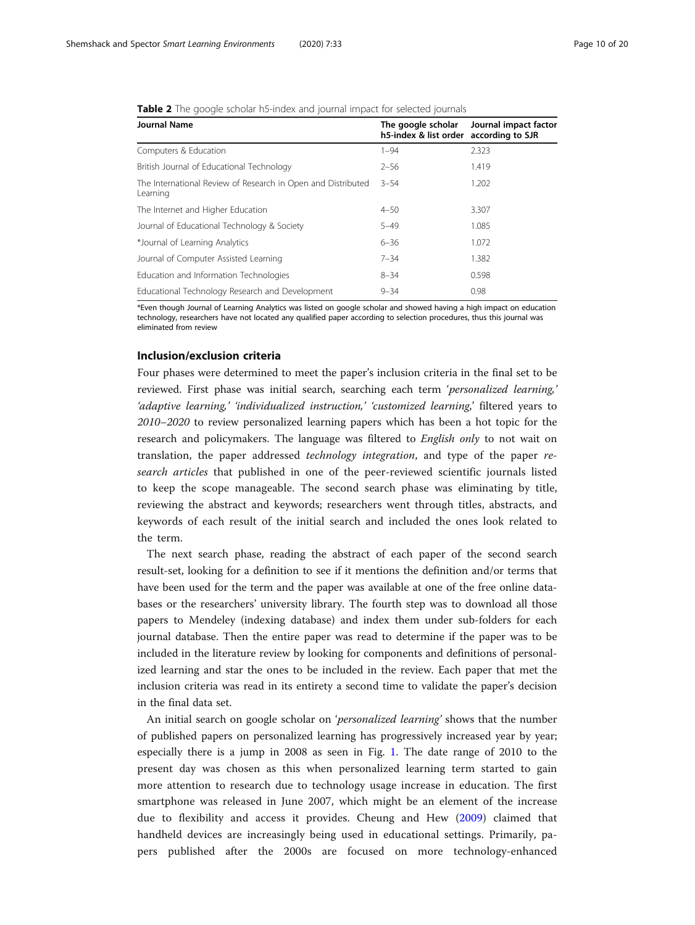| <b>Journal Name</b>                                                      | The google scholar<br>h5-index & list order according to SJR | Journal impact factor |
|--------------------------------------------------------------------------|--------------------------------------------------------------|-----------------------|
| Computers & Education                                                    | $1 - 94$                                                     | 2.323                 |
| British Journal of Educational Technology                                | $2 - 56$                                                     | 1.419                 |
| The International Review of Research in Open and Distributed<br>Learning | $3 - 54$                                                     | 1.202                 |
| The Internet and Higher Education                                        | $4 - 50$                                                     | 3.307                 |
| Journal of Educational Technology & Society                              | $5 - 49$                                                     | 1.085                 |
| *Journal of Learning Analytics                                           | $6 - 36$                                                     | 1.072                 |
| Journal of Computer Assisted Learning                                    | $7 - 34$                                                     | 1.382                 |
| Education and Information Technologies                                   | $8 - 34$                                                     | 0.598                 |
| Educational Technology Research and Development                          | $9 - 34$                                                     | 0.98                  |

<span id="page-9-0"></span>Table 2 The google scholar h5-index and journal impact for selected journals

\*Even though Journal of Learning Analytics was listed on google scholar and showed having a high impact on education technology, researchers have not located any qualified paper according to selection procedures, thus this journal was eliminated from review

# Inclusion/exclusion criteria

Four phases were determined to meet the paper's inclusion criteria in the final set to be reviewed. First phase was initial search, searching each term 'personalized learning,' 'adaptive learning,' 'individualized instruction,' 'customized learning,' filtered years to 2010–2020 to review personalized learning papers which has been a hot topic for the research and policymakers. The language was filtered to *English only* to not wait on translation, the paper addressed technology integration, and type of the paper research articles that published in one of the peer-reviewed scientific journals listed to keep the scope manageable. The second search phase was eliminating by title, reviewing the abstract and keywords; researchers went through titles, abstracts, and keywords of each result of the initial search and included the ones look related to the term.

The next search phase, reading the abstract of each paper of the second search result-set, looking for a definition to see if it mentions the definition and/or terms that have been used for the term and the paper was available at one of the free online databases or the researchers' university library. The fourth step was to download all those papers to Mendeley (indexing database) and index them under sub-folders for each journal database. Then the entire paper was read to determine if the paper was to be included in the literature review by looking for components and definitions of personalized learning and star the ones to be included in the review. Each paper that met the inclusion criteria was read in its entirety a second time to validate the paper's decision in the final data set.

An initial search on google scholar on 'personalized learning' shows that the number of published papers on personalized learning has progressively increased year by year; especially there is a jump in 2008 as seen in Fig. [1](#page-1-0). The date range of 2010 to the present day was chosen as this when personalized learning term started to gain more attention to research due to technology usage increase in education. The first smartphone was released in June 2007, which might be an element of the increase due to flexibility and access it provides. Cheung and Hew ([2009\)](#page-17-0) claimed that handheld devices are increasingly being used in educational settings. Primarily, papers published after the 2000s are focused on more technology-enhanced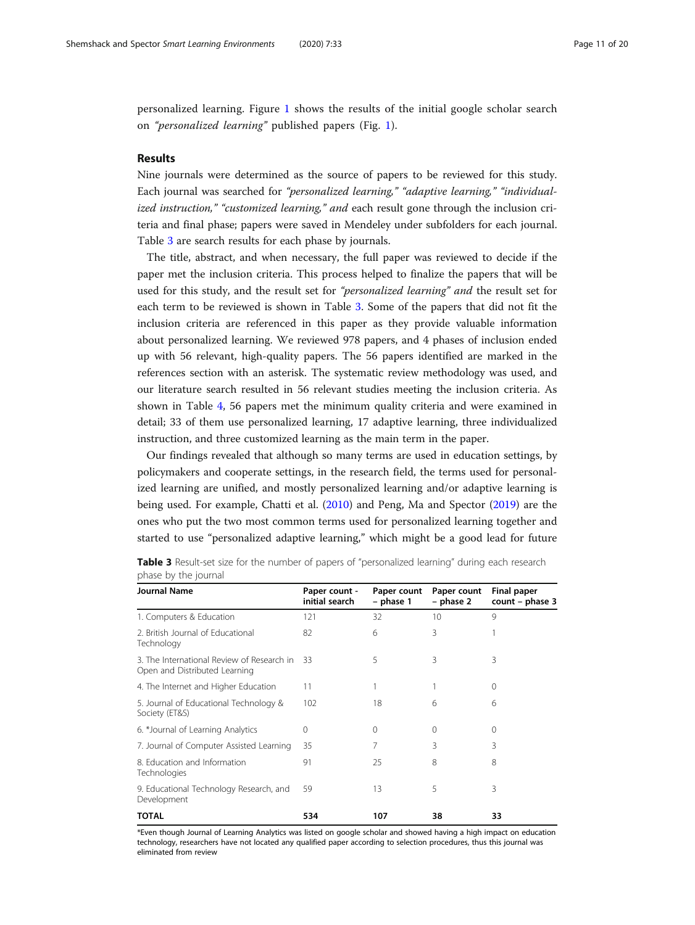personalized learning. Figure [1](#page-1-0) shows the results of the initial google scholar search on "personalized learning" published papers (Fig. [1](#page-1-0)).

# Results

Nine journals were determined as the source of papers to be reviewed for this study. Each journal was searched for "personalized learning," "adaptive learning," "individualized instruction," "customized learning," and each result gone through the inclusion criteria and final phase; papers were saved in Mendeley under subfolders for each journal. Table 3 are search results for each phase by journals.

The title, abstract, and when necessary, the full paper was reviewed to decide if the paper met the inclusion criteria. This process helped to finalize the papers that will be used for this study, and the result set for "personalized learning" and the result set for each term to be reviewed is shown in Table 3. Some of the papers that did not fit the inclusion criteria are referenced in this paper as they provide valuable information about personalized learning. We reviewed 978 papers, and 4 phases of inclusion ended up with 56 relevant, high-quality papers. The 56 papers identified are marked in the references section with an asterisk. The systematic review methodology was used, and our literature search resulted in 56 relevant studies meeting the inclusion criteria. As shown in Table [4](#page-11-0), 56 papers met the minimum quality criteria and were examined in detail; 33 of them use personalized learning, 17 adaptive learning, three individualized instruction, and three customized learning as the main term in the paper.

Our findings revealed that although so many terms are used in education settings, by policymakers and cooperate settings, in the research field, the terms used for personalized learning are unified, and mostly personalized learning and/or adaptive learning is being used. For example, Chatti et al. ([2010](#page-17-0)) and Peng, Ma and Spector ([2019](#page-18-0)) are the ones who put the two most common terms used for personalized learning together and started to use "personalized adaptive learning," which might be a good lead for future

| <b>Journal Name</b>                                                         | Paper count -<br>initial search | Paper count<br>- phase 1 | Paper count<br>- phase 2 | Final paper<br>count - phase 3 |  |
|-----------------------------------------------------------------------------|---------------------------------|--------------------------|--------------------------|--------------------------------|--|
| 1. Computers & Education                                                    | 121                             | 32                       | 10                       | 9                              |  |
| 2. British Journal of Educational<br>Technology                             | 82                              | 6                        | 3                        |                                |  |
| 3. The International Review of Research in<br>Open and Distributed Learning | 33                              | 5                        | 3                        | 3                              |  |
| 4. The Internet and Higher Education                                        | 11                              |                          |                          | 0                              |  |
| 5. Journal of Educational Technology &<br>Society (ET&S)                    | 102                             | 18                       | 6                        | 6                              |  |
| 6. *Journal of Learning Analytics                                           | 0                               | 0                        | $\Omega$                 | 0                              |  |
| 7. Journal of Computer Assisted Learning                                    | 35                              | 7                        | 3                        | 3                              |  |
| 8. Education and Information<br>Technologies                                | 91                              | 25                       | 8                        | 8                              |  |
| 9. Educational Technology Research, and<br>Development                      | 59                              | 13                       | 5                        | 3                              |  |
| <b>TOTAL</b>                                                                | 534                             | 107                      | 38                       | 33                             |  |

Table 3 Result-set size for the number of papers of "personalized learning" during each research phase by the journal

\*Even though Journal of Learning Analytics was listed on google scholar and showed having a high impact on education technology, researchers have not located any qualified paper according to selection procedures, thus this journal was eliminated from review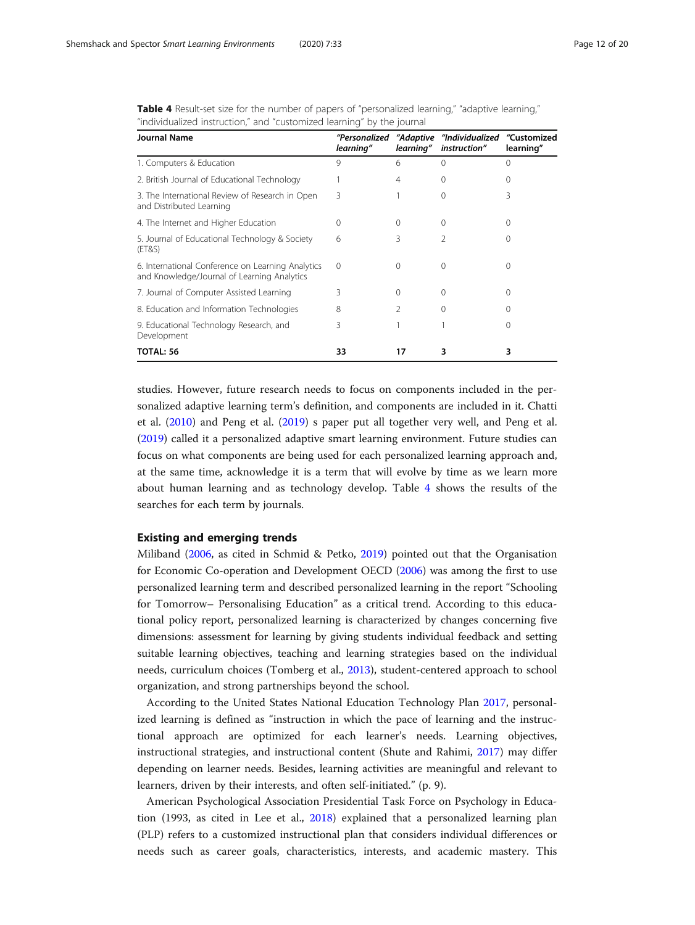| Journal Name                                                                                     | "Personalized<br>learning" | "Adaptive<br>learning" | "Individualized<br>instruction" | "Customized<br>learning" |
|--------------------------------------------------------------------------------------------------|----------------------------|------------------------|---------------------------------|--------------------------|
| 1. Computers & Education                                                                         | 9                          | 6                      | Ω                               |                          |
| 2. British Journal of Educational Technology                                                     |                            | 4                      | 0                               | 0                        |
| 3. The International Review of Research in Open<br>and Distributed Learning                      | 3                          |                        | 0                               | 3                        |
| 4. The Internet and Higher Education                                                             | 0                          | 0                      | $\Omega$                        | 0                        |
| 5. Journal of Educational Technology & Society<br>(ET&S)                                         | 6                          | 3                      | 2                               |                          |
| 6. International Conference on Learning Analytics<br>and Knowledge/Journal of Learning Analytics | $\Omega$                   | 0                      | 0                               |                          |
| 7. Journal of Computer Assisted Learning                                                         | 3                          | 0                      | 0                               | $\left( \right)$         |
| 8. Education and Information Technologies                                                        | 8                          | 2                      | $\Omega$                        |                          |
| 9. Educational Technology Research, and<br>Development                                           | 3                          |                        |                                 | $\left( \right)$         |
| TOTAL: 56                                                                                        | 33                         | 17                     | 3                               | 3                        |

<span id="page-11-0"></span>Table 4 Result-set size for the number of papers of "personalized learning," "adaptive learning," "individualized instruction," and "customized learning" by the journal

studies. However, future research needs to focus on components included in the personalized adaptive learning term's definition, and components are included in it. Chatti et al. [\(2010\)](#page-17-0) and Peng et al. ([2019](#page-18-0)) s paper put all together very well, and Peng et al. ([2019](#page-18-0)) called it a personalized adaptive smart learning environment. Future studies can focus on what components are being used for each personalized learning approach and, at the same time, acknowledge it is a term that will evolve by time as we learn more about human learning and as technology develop. Table 4 shows the results of the searches for each term by journals.

# Existing and emerging trends

Miliband ([2006](#page-18-0), as cited in Schmid & Petko, [2019\)](#page-19-0) pointed out that the Organisation for Economic Co-operation and Development OECD ([2006](#page-18-0)) was among the first to use personalized learning term and described personalized learning in the report "Schooling for Tomorrow– Personalising Education" as a critical trend. According to this educational policy report, personalized learning is characterized by changes concerning five dimensions: assessment for learning by giving students individual feedback and setting suitable learning objectives, teaching and learning strategies based on the individual needs, curriculum choices (Tomberg et al., [2013\)](#page-19-0), student-centered approach to school organization, and strong partnerships beyond the school.

According to the United States National Education Technology Plan [2017,](#page-19-0) personalized learning is defined as "instruction in which the pace of learning and the instructional approach are optimized for each learner's needs. Learning objectives, instructional strategies, and instructional content (Shute and Rahimi, [2017\)](#page-19-0) may differ depending on learner needs. Besides, learning activities are meaningful and relevant to learners, driven by their interests, and often self-initiated." (p. 9).

American Psychological Association Presidential Task Force on Psychology in Education (1993, as cited in Lee et al., [2018](#page-18-0)) explained that a personalized learning plan (PLP) refers to a customized instructional plan that considers individual differences or needs such as career goals, characteristics, interests, and academic mastery. This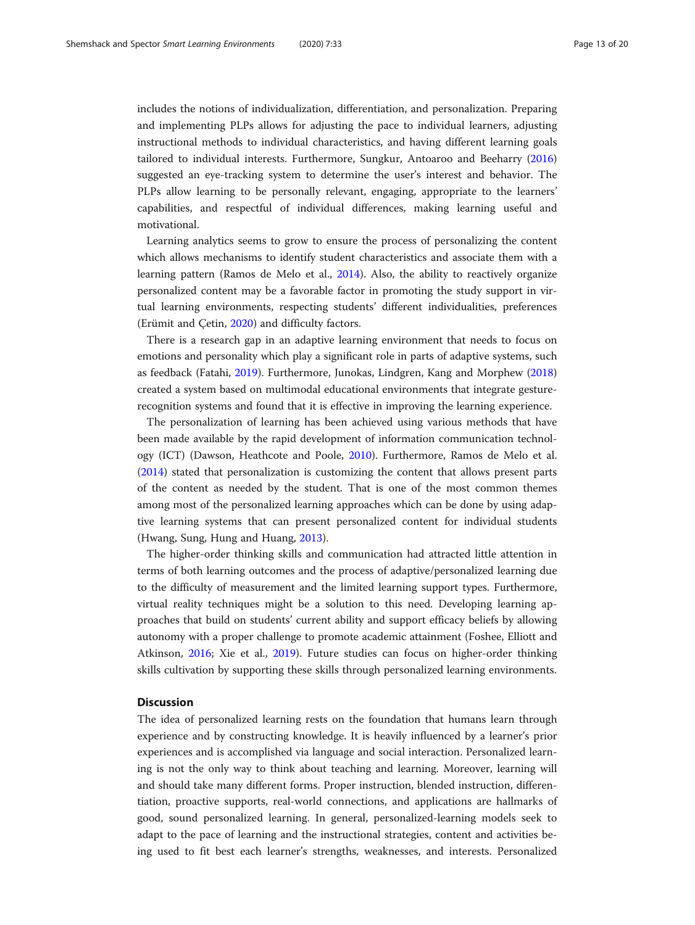includes the notions of individualization, differentiation, and personalization. Preparing and implementing PLPs allows for adjusting the pace to individual learners, adjusting instructional methods to individual characteristics, and having different learning goals tailored to individual interests. Furthermore, Sungkur, Antoaroo and Beeharry ([2016](#page-19-0)) suggested an eye-tracking system to determine the user's interest and behavior. The PLPs allow learning to be personally relevant, engaging, appropriate to the learners' capabilities, and respectful of individual differences, making learning useful and motivational.

Learning analytics seems to grow to ensure the process of personalizing the content which allows mechanisms to identify student characteristics and associate them with a learning pattern (Ramos de Melo et al., [2014\)](#page-19-0). Also, the ability to reactively organize personalized content may be a favorable factor in promoting the study support in virtual learning environments, respecting students' different individualities, preferences (Erümit and Çetin, [2020](#page-17-0)) and difficulty factors.

There is a research gap in an adaptive learning environment that needs to focus on emotions and personality which play a significant role in parts of adaptive systems, such as feedback (Fatahi, [2019\)](#page-17-0). Furthermore, Junokas, Lindgren, Kang and Morphew ([2018](#page-18-0)) created a system based on multimodal educational environments that integrate gesturerecognition systems and found that it is effective in improving the learning experience.

The personalization of learning has been achieved using various methods that have been made available by the rapid development of information communication technology (ICT) (Dawson, Heathcote and Poole, [2010\)](#page-17-0). Furthermore, Ramos de Melo et al. ([2014](#page-19-0)) stated that personalization is customizing the content that allows present parts of the content as needed by the student. That is one of the most common themes among most of the personalized learning approaches which can be done by using adaptive learning systems that can present personalized content for individual students (Hwang, Sung, Hung and Huang, [2013](#page-18-0)).

The higher-order thinking skills and communication had attracted little attention in terms of both learning outcomes and the process of adaptive/personalized learning due to the difficulty of measurement and the limited learning support types. Furthermore, virtual reality techniques might be a solution to this need. Developing learning approaches that build on students' current ability and support efficacy beliefs by allowing autonomy with a proper challenge to promote academic attainment (Foshee, Elliott and Atkinson, [2016](#page-17-0); Xie et al., [2019\)](#page-19-0). Future studies can focus on higher-order thinking skills cultivation by supporting these skills through personalized learning environments.

# **Discussion**

The idea of personalized learning rests on the foundation that humans learn through experience and by constructing knowledge. It is heavily influenced by a learner's prior experiences and is accomplished via language and social interaction. Personalized learning is not the only way to think about teaching and learning. Moreover, learning will and should take many different forms. Proper instruction, blended instruction, differentiation, proactive supports, real-world connections, and applications are hallmarks of good, sound personalized learning. In general, personalized-learning models seek to adapt to the pace of learning and the instructional strategies, content and activities being used to fit best each learner's strengths, weaknesses, and interests. Personalized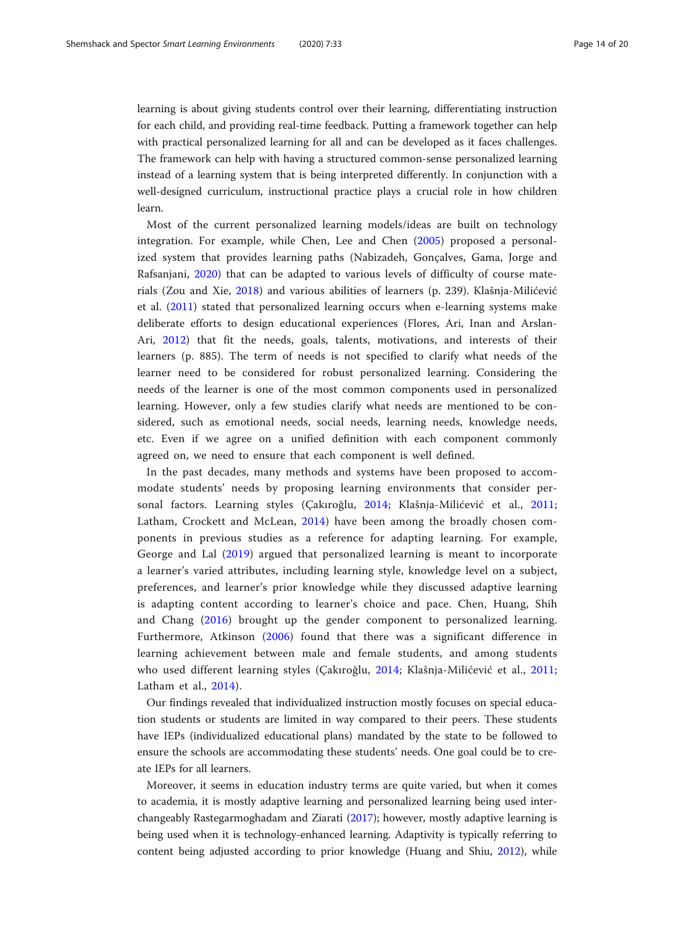learning is about giving students control over their learning, differentiating instruction for each child, and providing real-time feedback. Putting a framework together can help with practical personalized learning for all and can be developed as it faces challenges. The framework can help with having a structured common-sense personalized learning instead of a learning system that is being interpreted differently. In conjunction with a well-designed curriculum, instructional practice plays a crucial role in how children learn.

Most of the current personalized learning models/ideas are built on technology integration. For example, while Chen, Lee and Chen ([2005\)](#page-17-0) proposed a personalized system that provides learning paths (Nabizadeh, Gonçalves, Gama, Jorge and Rafsanjani, [2020\)](#page-18-0) that can be adapted to various levels of difficulty of course materials (Zou and Xie, [2018](#page-19-0)) and various abilities of learners (p. 239). Klašnja-Milićević et al. ([2011\)](#page-18-0) stated that personalized learning occurs when e-learning systems make deliberate efforts to design educational experiences (Flores, Ari, Inan and Arslan-Ari, [2012\)](#page-17-0) that fit the needs, goals, talents, motivations, and interests of their learners (p. 885). The term of needs is not specified to clarify what needs of the learner need to be considered for robust personalized learning. Considering the needs of the learner is one of the most common components used in personalized learning. However, only a few studies clarify what needs are mentioned to be considered, such as emotional needs, social needs, learning needs, knowledge needs, etc. Even if we agree on a unified definition with each component commonly agreed on, we need to ensure that each component is well defined.

In the past decades, many methods and systems have been proposed to accommodate students' needs by proposing learning environments that consider personal factors. Learning styles (Çakıroğlu, [2014;](#page-17-0) Klašnja-Milićević et al., [2011](#page-18-0); Latham, Crockett and McLean, [2014](#page-18-0)) have been among the broadly chosen components in previous studies as a reference for adapting learning. For example, George and Lal ([2019](#page-17-0)) argued that personalized learning is meant to incorporate a learner's varied attributes, including learning style, knowledge level on a subject, preferences, and learner's prior knowledge while they discussed adaptive learning is adapting content according to learner's choice and pace. Chen, Huang, Shih and Chang [\(2016\)](#page-17-0) brought up the gender component to personalized learning. Furthermore, Atkinson ([2006\)](#page-17-0) found that there was a significant difference in learning achievement between male and female students, and among students who used different learning styles (Çakıroğlu, [2014](#page-17-0); Klašnja-Milićević et al., [2011](#page-18-0); Latham et al., [2014\)](#page-18-0).

Our findings revealed that individualized instruction mostly focuses on special education students or students are limited in way compared to their peers. These students have IEPs (individualized educational plans) mandated by the state to be followed to ensure the schools are accommodating these students' needs. One goal could be to create IEPs for all learners.

Moreover, it seems in education industry terms are quite varied, but when it comes to academia, it is mostly adaptive learning and personalized learning being used interchangeably Rastegarmoghadam and Ziarati [\(2017\)](#page-19-0); however, mostly adaptive learning is being used when it is technology-enhanced learning. Adaptivity is typically referring to content being adjusted according to prior knowledge (Huang and Shiu, [2012](#page-18-0)), while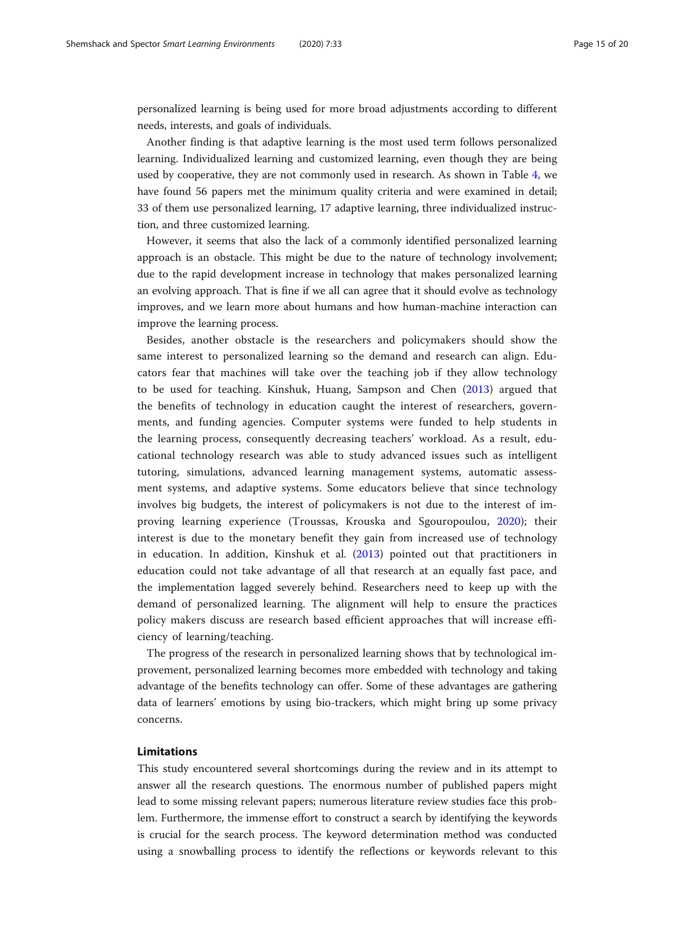personalized learning is being used for more broad adjustments according to different needs, interests, and goals of individuals.

Another finding is that adaptive learning is the most used term follows personalized learning. Individualized learning and customized learning, even though they are being used by cooperative, they are not commonly used in research. As shown in Table [4](#page-11-0), we have found 56 papers met the minimum quality criteria and were examined in detail; 33 of them use personalized learning, 17 adaptive learning, three individualized instruction, and three customized learning.

However, it seems that also the lack of a commonly identified personalized learning approach is an obstacle. This might be due to the nature of technology involvement; due to the rapid development increase in technology that makes personalized learning an evolving approach. That is fine if we all can agree that it should evolve as technology improves, and we learn more about humans and how human-machine interaction can improve the learning process.

Besides, another obstacle is the researchers and policymakers should show the same interest to personalized learning so the demand and research can align. Educators fear that machines will take over the teaching job if they allow technology to be used for teaching. Kinshuk, Huang, Sampson and Chen ([2013\)](#page-18-0) argued that the benefits of technology in education caught the interest of researchers, governments, and funding agencies. Computer systems were funded to help students in the learning process, consequently decreasing teachers' workload. As a result, educational technology research was able to study advanced issues such as intelligent tutoring, simulations, advanced learning management systems, automatic assessment systems, and adaptive systems. Some educators believe that since technology involves big budgets, the interest of policymakers is not due to the interest of improving learning experience (Troussas, Krouska and Sgouropoulou, [2020](#page-19-0)); their interest is due to the monetary benefit they gain from increased use of technology in education. In addition, Kinshuk et al. ([2013\)](#page-18-0) pointed out that practitioners in education could not take advantage of all that research at an equally fast pace, and the implementation lagged severely behind. Researchers need to keep up with the demand of personalized learning. The alignment will help to ensure the practices policy makers discuss are research based efficient approaches that will increase efficiency of learning/teaching.

The progress of the research in personalized learning shows that by technological improvement, personalized learning becomes more embedded with technology and taking advantage of the benefits technology can offer. Some of these advantages are gathering data of learners' emotions by using bio-trackers, which might bring up some privacy concerns.

## Limitations

This study encountered several shortcomings during the review and in its attempt to answer all the research questions. The enormous number of published papers might lead to some missing relevant papers; numerous literature review studies face this problem. Furthermore, the immense effort to construct a search by identifying the keywords is crucial for the search process. The keyword determination method was conducted using a snowballing process to identify the reflections or keywords relevant to this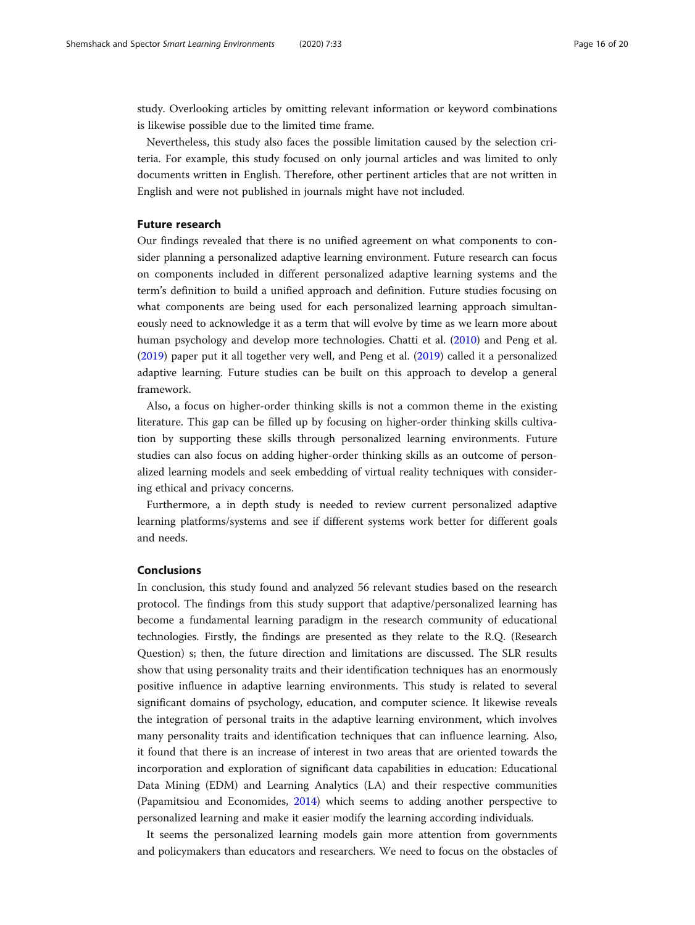study. Overlooking articles by omitting relevant information or keyword combinations is likewise possible due to the limited time frame.

Nevertheless, this study also faces the possible limitation caused by the selection criteria. For example, this study focused on only journal articles and was limited to only documents written in English. Therefore, other pertinent articles that are not written in English and were not published in journals might have not included.

# Future research

Our findings revealed that there is no unified agreement on what components to consider planning a personalized adaptive learning environment. Future research can focus on components included in different personalized adaptive learning systems and the term's definition to build a unified approach and definition. Future studies focusing on what components are being used for each personalized learning approach simultaneously need to acknowledge it as a term that will evolve by time as we learn more about human psychology and develop more technologies. Chatti et al. ([2010\)](#page-17-0) and Peng et al. ([2019](#page-18-0)) paper put it all together very well, and Peng et al. ([2019](#page-18-0)) called it a personalized adaptive learning. Future studies can be built on this approach to develop a general framework.

Also, a focus on higher-order thinking skills is not a common theme in the existing literature. This gap can be filled up by focusing on higher-order thinking skills cultivation by supporting these skills through personalized learning environments. Future studies can also focus on adding higher-order thinking skills as an outcome of personalized learning models and seek embedding of virtual reality techniques with considering ethical and privacy concerns.

Furthermore, a in depth study is needed to review current personalized adaptive learning platforms/systems and see if different systems work better for different goals and needs.

# Conclusions

In conclusion, this study found and analyzed 56 relevant studies based on the research protocol. The findings from this study support that adaptive/personalized learning has become a fundamental learning paradigm in the research community of educational technologies. Firstly, the findings are presented as they relate to the R.Q. (Research Question) s; then, the future direction and limitations are discussed. The SLR results show that using personality traits and their identification techniques has an enormously positive influence in adaptive learning environments. This study is related to several significant domains of psychology, education, and computer science. It likewise reveals the integration of personal traits in the adaptive learning environment, which involves many personality traits and identification techniques that can influence learning. Also, it found that there is an increase of interest in two areas that are oriented towards the incorporation and exploration of significant data capabilities in education: Educational Data Mining (EDM) and Learning Analytics (LA) and their respective communities (Papamitsiou and Economides, [2014\)](#page-18-0) which seems to adding another perspective to personalized learning and make it easier modify the learning according individuals.

It seems the personalized learning models gain more attention from governments and policymakers than educators and researchers. We need to focus on the obstacles of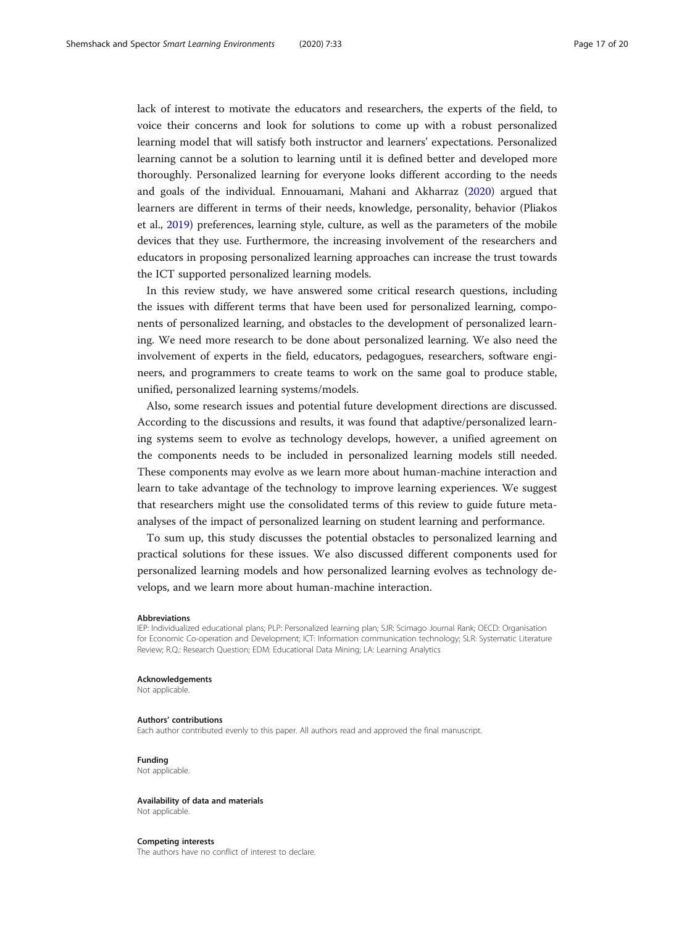lack of interest to motivate the educators and researchers, the experts of the field, to voice their concerns and look for solutions to come up with a robust personalized learning model that will satisfy both instructor and learners' expectations. Personalized learning cannot be a solution to learning until it is defined better and developed more thoroughly. Personalized learning for everyone looks different according to the needs and goals of the individual. Ennouamani, Mahani and Akharraz [\(2020\)](#page-17-0) argued that learners are different in terms of their needs, knowledge, personality, behavior (Pliakos et al., [2019\)](#page-18-0) preferences, learning style, culture, as well as the parameters of the mobile devices that they use. Furthermore, the increasing involvement of the researchers and educators in proposing personalized learning approaches can increase the trust towards the ICT supported personalized learning models.

In this review study, we have answered some critical research questions, including the issues with different terms that have been used for personalized learning, components of personalized learning, and obstacles to the development of personalized learning. We need more research to be done about personalized learning. We also need the involvement of experts in the field, educators, pedagogues, researchers, software engineers, and programmers to create teams to work on the same goal to produce stable, unified, personalized learning systems/models.

Also, some research issues and potential future development directions are discussed. According to the discussions and results, it was found that adaptive/personalized learning systems seem to evolve as technology develops, however, a unified agreement on the components needs to be included in personalized learning models still needed. These components may evolve as we learn more about human-machine interaction and learn to take advantage of the technology to improve learning experiences. We suggest that researchers might use the consolidated terms of this review to guide future metaanalyses of the impact of personalized learning on student learning and performance.

To sum up, this study discusses the potential obstacles to personalized learning and practical solutions for these issues. We also discussed different components used for personalized learning models and how personalized learning evolves as technology develops, and we learn more about human-machine interaction.

#### Abbreviations

IEP: Individualized educational plans; PLP: Personalized learning plan; SJR: Scimago Journal Rank; OECD: Organisation for Economic Co-operation and Development; ICT: Information communication technology; SLR: Systematic Literature Review; R.Q.: Research Question; EDM: Educational Data Mining; LA: Learning Analytics

Acknowledgements Not applicable.

#### Authors' contributions

Each author contributed evenly to this paper. All authors read and approved the final manuscript.

#### Funding

Not applicable.

#### Availability of data and materials Not applicable.

#### Competing interests

The authors have no conflict of interest to declare.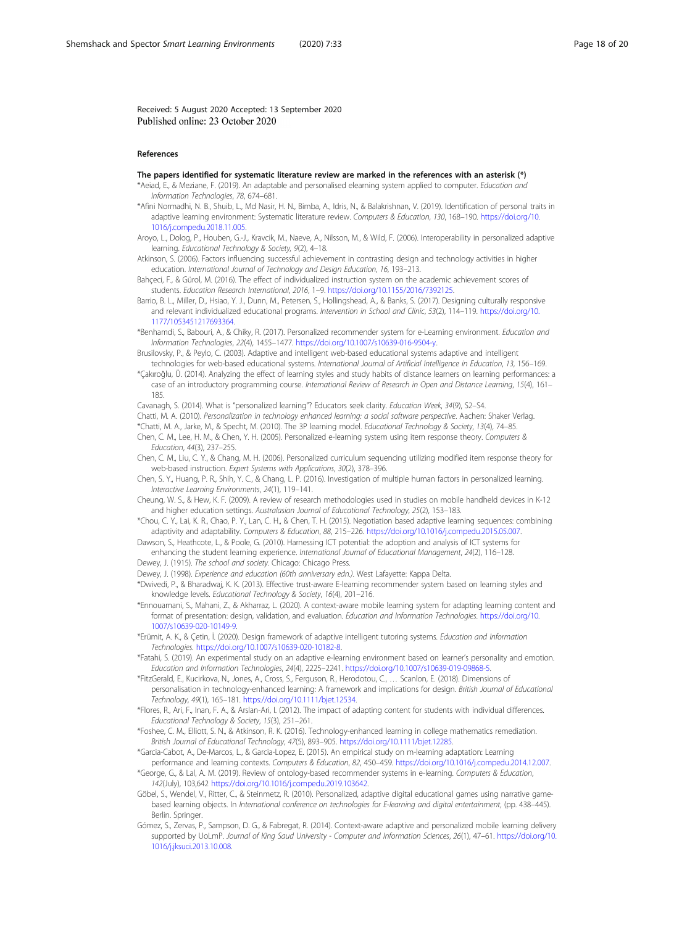<span id="page-17-0"></span>Received: 5 August 2020 Accepted: 13 September 2020 Published online: 23 October 2020

#### References

The papers identified for systematic literature review are marked in the references with an asterisk (\*)

\*Aeiad, E., & Meziane, F. (2019). An adaptable and personalised elearning system applied to computer. Education and Information Technologies, 78, 674–681.

\*Afini Normadhi, N. B., Shuib, L., Md Nasir, H. N., Bimba, A., Idris, N., & Balakrishnan, V. (2019). Identification of personal traits in adaptive learning environment: Systematic literature review. Computers & Education, 130, 168–190. [https://doi.org/10.](https://doi.org/10.1016/j.compedu.2018.11.005) [1016/j.compedu.2018.11.005](https://doi.org/10.1016/j.compedu.2018.11.005).

Aroyo, L., Dolog, P., Houben, G.-J., Kravcik, M., Naeve, A., Nilsson, M., & Wild, F. (2006). Interoperability in personalized adaptive learning. Educational Technology & Society, 9(2), 4–18.

Atkinson, S. (2006). Factors influencing successful achievement in contrasting design and technology activities in higher education. International Journal of Technology and Design Education, 16, 193–213.

Bahçeci, F., & Gürol, M. (2016). The effect of individualized instruction system on the academic achievement scores of students. Education Research International, 2016, 1–9. <https://doi.org/10.1155/2016/7392125>.

Barrio, B. L., Miller, D., Hsiao, Y. J., Dunn, M., Petersen, S., Hollingshead, A., & Banks, S. (2017). Designing culturally responsive and relevant individualized educational programs. Intervention in School and Clinic, 53(2), 114–119. [https://doi.org/10.](https://doi.org/10.1177/1053451217693364) [1177/1053451217693364](https://doi.org/10.1177/1053451217693364).

\*Benhamdi, S., Babouri, A., & Chiky, R. (2017). Personalized recommender system for e-Learning environment. Education and Information Technologies, 22(4), 1455–1477. [https://doi.org/10.1007/s10639-016-9504-y.](https://doi.org/10.1007/s10639-016-9504-y)

Brusilovsky, P., & Peylo, C. (2003). Adaptive and intelligent web-based educational systems adaptive and intelligent technologies for web-based educational systems. International Journal of Artificial Intelligence in Education, 13, 156–169.

\*Çakıroğlu, Ü. (2014). Analyzing the effect of learning styles and study habits of distance learners on learning performances: a case of an introductory programming course. International Review of Research in Open and Distance Learning, 15(4), 161-185.

Cavanagh, S. (2014). What is "personalized learning"? Educators seek clarity. Education Week, 34(9), S2–S4.

Chatti, M. A. (2010). Personalization in technology enhanced learning: a social software perspective. Aachen: Shaker Verlag.

\*Chatti, M. A., Jarke, M., & Specht, M. (2010). The 3P learning model. Educational Technology & Society, 13(4), 74–85. Chen, C. M., Lee, H. M., & Chen, Y. H. (2005). Personalized e-learning system using item response theory. Computers & Education, 44(3), 237–255.

Chen, C. M., Liu, C. Y., & Chang, M. H. (2006). Personalized curriculum sequencing utilizing modified item response theory for web-based instruction. Expert Systems with Applications, 30(2), 378–396.

Chen, S. Y., Huang, P. R., Shih, Y. C., & Chang, L. P. (2016). Investigation of multiple human factors in personalized learning. Interactive Learning Environments, 24(1), 119–141.

Cheung, W. S., & Hew, K. F. (2009). A review of research methodologies used in studies on mobile handheld devices in K-12 and higher education settings. Australasian Journal of Educational Technology, 25(2), 153-183.

\*Chou, C. Y., Lai, K. R., Chao, P. Y., Lan, C. H., & Chen, T. H. (2015). Negotiation based adaptive learning sequences: combining adaptivity and adaptability. Computers & Education, 88, 215–226. <https://doi.org/10.1016/j.compedu.2015.05.007>.

Dawson, S., Heathcote, L., & Poole, G. (2010). Harnessing ICT potential: the adoption and analysis of ICT systems for enhancing the student learning experience. International Journal of Educational Management, 24(2), 116–128.

Dewey, J. (1915). The school and society. Chicago: Chicago Press.

Dewey, J. (1998). Experience and education (60th anniversary edn.). West Lafayette: Kappa Delta.

\*Dwivedi, P., & Bharadwaj, K. K. (2013). Effective trust-aware E-learning recommender system based on learning styles and knowledge levels. Educational Technology & Society, 16(4), 201–216.

\*Ennouamani, S., Mahani, Z., & Akharraz, L. (2020). A context-aware mobile learning system for adapting learning content and format of presentation: design, validation, and evaluation. Education and Information Technologies. [https://doi.org/10.](https://doi.org/10.1007/s10639-020-10149-9) [1007/s10639-020-10149-9](https://doi.org/10.1007/s10639-020-10149-9).

\*Erümit, A. K., & Çetin, İ. (2020). Design framework of adaptive intelligent tutoring systems. Education and Information Technologies. [https://doi.org/10.1007/s10639-020-10182-8.](https://doi.org/10.1007/s10639-020-10182-8)

\*Fatahi, S. (2019). An experimental study on an adaptive e-learning environment based on learner's personality and emotion. Education and Information Technologies, 24(4), 2225–2241. [https://doi.org/10.1007/s10639-019-09868-5.](https://doi.org/10.1007/s10639-019-09868-5)

\*FitzGerald, E., Kucirkova, N., Jones, A., Cross, S., Ferguson, R., Herodotou, C., … Scanlon, E. (2018). Dimensions of personalisation in technology-enhanced learning: A framework and implications for design. British Journal of Educational Technology, 49(1), 165–181. [https://doi.org/10.1111/bjet.12534.](https://doi.org/10.1111/bjet.12534)

\*Flores, R., Ari, F., Inan, F. A., & Arslan-Ari, I. (2012). The impact of adapting content for students with individual differences. Educational Technology & Society, 15(3), 251–261.

\*Foshee, C. M., Elliott, S. N., & Atkinson, R. K. (2016). Technology-enhanced learning in college mathematics remediation. British Journal of Educational Technology, 47(5), 893–905. [https://doi.org/10.1111/bjet.12285.](https://doi.org/10.1111/bjet.12285)

\*Garcia-Cabot, A., De-Marcos, L., & Garcia-Lopez, E. (2015). An empirical study on m-learning adaptation: Learning performance and learning contexts. Computers & Education, 82, 450–459. <https://doi.org/10.1016/j.compedu.2014.12.007>. \*George, G., & Lal, A. M. (2019). Review of ontology-based recommender systems in e-learning. Computers & Education,

142(July), 103,642 [https://doi.org/10.1016/j.compedu.2019.103642.](https://doi.org/10.1016/j.compedu.2019.103642)

- Göbel, S., Wendel, V., Ritter, C., & Steinmetz, R. (2010). Personalized, adaptive digital educational games using narrative gamebased learning objects. In International conference on technologies for E-learning and digital entertainment, (pp. 438–445). Berlin. Springer.
- Gómez, S., Zervas, P., Sampson, D. G., & Fabregat, R. (2014). Context-aware adaptive and personalized mobile learning delivery supported by UoLmP. Journal of King Saud University - Computer and Information Sciences, 26(1), 47–61. [https://doi.org/10.](https://doi.org/10.1016/j.jksuci.2013.10.008) [1016/j.jksuci.2013.10.008](https://doi.org/10.1016/j.jksuci.2013.10.008).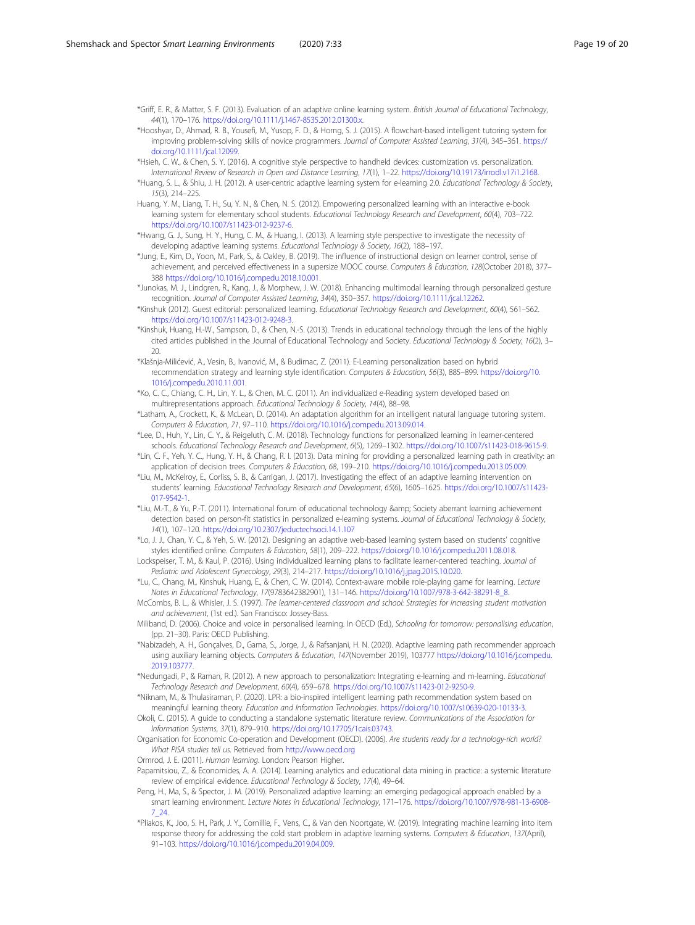<span id="page-18-0"></span>\*Griff, E. R., & Matter, S. F. (2013). Evaluation of an adaptive online learning system. British Journal of Educational Technology, 44(1), 170–176. [https://doi.org/10.1111/j.1467-8535.2012.01300.x.](https://doi.org/10.1111/j.1467-8535.2012.01300.x)

- \*Hooshyar, D., Ahmad, R. B., Yousefi, M., Yusop, F. D., & Horng, S. J. (2015). A flowchart-based intelligent tutoring system for improving problem-solving skills of novice programmers. Journal of Computer Assisted Learning, 31(4), 345–361. [https://](https://doi.org/10.1111/jcal.12099) [doi.org/10.1111/jcal.12099.](https://doi.org/10.1111/jcal.12099)
- \*Hsieh, C. W., & Chen, S. Y. (2016). A cognitive style perspective to handheld devices: customization vs. personalization. International Review of Research in Open and Distance Learning, 17(1), 1–22. [https://doi.org/10.19173/irrodl.v17i1.2168.](https://doi.org/10.19173/irrodl.v17i1.2168)
- \*Huang, S. L., & Shiu, J. H. (2012). A user-centric adaptive learning system for e-learning 2.0. Educational Technology & Society, 15(3), 214–225.
- Huang, Y. M., Liang, T. H., Su, Y. N., & Chen, N. S. (2012). Empowering personalized learning with an interactive e-book learning system for elementary school students. Educational Technology Research and Development, 60(4), 703–722. <https://doi.org/10.1007/s11423-012-9237-6>.
- \*Hwang, G. J., Sung, H. Y., Hung, C. M., & Huang, I. (2013). A learning style perspective to investigate the necessity of developing adaptive learning systems. Educational Technology & Society, 16(2), 188–197.
- \*Jung, E., Kim, D., Yoon, M., Park, S., & Oakley, B. (2019). The influence of instructional design on learner control, sense of achievement, and perceived effectiveness in a supersize MOOC course. Computers & Education, 128(October 2018), 377-388 [https://doi.org/10.1016/j.compedu.2018.10.001.](https://doi.org/10.1016/j.compedu.2018.10.001)
- \*Junokas, M. J., Lindgren, R., Kang, J., & Morphew, J. W. (2018). Enhancing multimodal learning through personalized gesture recognition. Journal of Computer Assisted Learning, 34(4), 350–357. <https://doi.org/10.1111/jcal.12262>.
- \*Kinshuk (2012). Guest editorial: personalized learning. Educational Technology Research and Development, 60(4), 561–562. <https://doi.org/10.1007/s11423-012-9248-3>.
- \*Kinshuk, Huang, H.-W., Sampson, D., & Chen, N.-S. (2013). Trends in educational technology through the lens of the highly cited articles published in the Journal of Educational Technology and Society. Educational Technology & Society, 16(2), 3– 20.
- \*Klašnja-Milićević, A., Vesin, B., Ivanović, M., & Budimac, Z. (2011). E-Learning personalization based on hybrid recommendation strategy and learning style identification. Computers & Education, 56(3), 885–899. [https://doi.org/10.](https://doi.org/10.1016/j.compedu.2010.11.001) [1016/j.compedu.2010.11.001](https://doi.org/10.1016/j.compedu.2010.11.001).
- \*Ko, C. C., Chiang, C. H., Lin, Y. L., & Chen, M. C. (2011). An individualized e-Reading system developed based on multirepresentations approach. Educational Technology & Society, 14(4), 88–98.
- \*Latham, A., Crockett, K., & McLean, D. (2014). An adaptation algorithm for an intelligent natural language tutoring system. Computers & Education, 71, 97–110. [https://doi.org/10.1016/j.compedu.2013.09.014.](https://doi.org/10.1016/j.compedu.2013.09.014)
- \*Lee, D., Huh, Y., Lin, C. Y., & Reigeluth, C. M. (2018). Technology functions for personalized learning in learner-centered schools. Educational Technology Research and Development, 6(5), 1269–1302. [https://doi.org/10.1007/s11423-018-9615-9.](https://doi.org/10.1007/s11423-018-9615-9)
- \*Lin, C. F., Yeh, Y. C., Hung, Y. H., & Chang, R. I. (2013). Data mining for providing a personalized learning path in creativity: an application of decision trees. Computers & Education, 68, 199–210. [https://doi.org/10.1016/j.compedu.2013.05.009.](https://doi.org/10.1016/j.compedu.2013.05.009)
- \*Liu, M., McKelroy, E., Corliss, S. B., & Carrigan, J. (2017). Investigating the effect of an adaptive learning intervention on students' learning. Educational Technology Research and Development, 65(6), 1605–1625. [https://doi.org/10.1007/s11423-](https://doi.org/10.1007/s11423-017-9542-1) [017-9542-1](https://doi.org/10.1007/s11423-017-9542-1).
- \*Liu, M.-T., & Yu, P.-T. (2011). International forum of educational technology & amp; Society aberrant learning achievement detection based on person-fit statistics in personalized e-learning systems. Journal of Educational Technology & Society, 14(1), 107–120. <https://doi.org/10.2307/jeductechsoci.14.1.107>
- \*Lo, J. J., Chan, Y. C., & Yeh, S. W. (2012). Designing an adaptive web-based learning system based on students' cognitive styles identified online. Computers & Education, 58(1), 209–222. [https://doi.org/10.1016/j.compedu.2011.08.018.](https://doi.org/10.1016/j.compedu.2011.08.018)
- Lockspeiser, T. M., & Kaul, P. (2016). Using individualized learning plans to facilitate learner-centered teaching. Journal of Pediatric and Adolescent Gynecology, 29(3), 214–217. [https://doi.org/10.1016/j.jpag.2015.10.020.](https://doi.org/10.1016/j.jpag.2015.10.020)
- \*Lu, C., Chang, M., Kinshuk, Huang, E., & Chen, C. W. (2014). Context-aware mobile role-playing game for learning. Lecture Notes in Educational Technology, 17(9783642382901), 131–146. [https://doi.org/10.1007/978-3-642-38291-8\\_8](https://doi.org/10.1007/978-3-642-38291-8_8).
- McCombs, B. L., & Whisler, J. S. (1997). The learner-centered classroom and school: Strategies for increasing student motivation and achievement, (1st ed.). San Francisco: Jossey-Bass.
- Miliband, D. (2006). Choice and voice in personalised learning. In OECD (Ed.), Schooling for tomorrow: personalising education, (pp. 21–30). Paris: OECD Publishing.
- \*Nabizadeh, A. H., Gonçalves, D., Gama, S., Jorge, J., & Rafsanjani, H. N. (2020). Adaptive learning path recommender approach using auxiliary learning objects. Computers & Education, 147(November 2019), 103777 [https://doi.org/10.1016/j.compedu.](https://doi.org/10.1016/j.compedu.2019.103777) [2019.103777.](https://doi.org/10.1016/j.compedu.2019.103777)
- \*Nedungadi, P., & Raman, R. (2012). A new approach to personalization: Integrating e-learning and m-learning. Educational Technology Research and Development, 60(4), 659–678. <https://doi.org/10.1007/s11423-012-9250-9>.
- \*Niknam, M., & Thulasiraman, P. (2020). LPR: a bio-inspired intelligent learning path recommendation system based on meaningful learning theory. Education and Information Technologies. <https://doi.org/10.1007/s10639-020-10133-3>.
- Okoli, C. (2015). A guide to conducting a standalone systematic literature review. Communications of the Association for Information Systems, 37(1), 879–910. [https://doi.org/10.17705/1cais.03743.](https://doi.org/10.17705/1cais.03743)
- Organisation for Economic Co-operation and Development (OECD). (2006). Are students ready for a technology-rich world? What PISA studies tell us. Retrieved from <http://www.oecd.org>
- Ormrod, J. E. (2011). Human learning. London: Pearson Higher.
- Papamitsiou, Z., & Economides, A. A. (2014). Learning analytics and educational data mining in practice: a systemic literature review of empirical evidence. Educational Technology & Society, 17(4), 49–64.
- Peng, H., Ma, S., & Spector, J. M. (2019). Personalized adaptive learning: an emerging pedagogical approach enabled by a smart learning environment. Lecture Notes in Educational Technology, 171–176. [https://doi.org/10.1007/978-981-13-6908-](https://doi.org/10.1007/978-981-13-6908-7_24) [7\\_24](https://doi.org/10.1007/978-981-13-6908-7_24).
- \*Pliakos, K., Joo, S. H., Park, J. Y., Cornillie, F., Vens, C., & Van den Noortgate, W. (2019). Integrating machine learning into item response theory for addressing the cold start problem in adaptive learning systems. Computers & Education, 137(April), 91–103. <https://doi.org/10.1016/j.compedu.2019.04.009>.